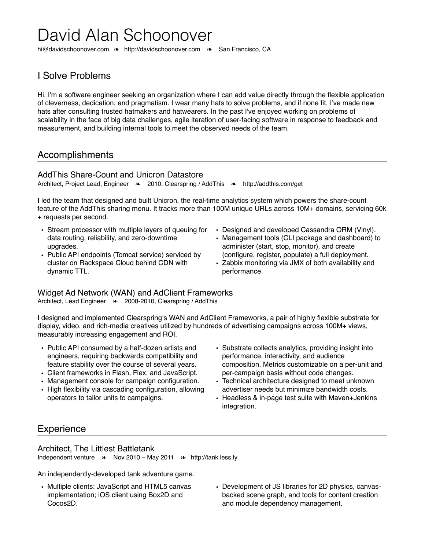# David Alan Schoonover

[hi@davidschoonover.com](mailto:hi@davidschoonover.com) ❧ <http://davidschoonover.com>❧ San Francisco, CA

# I Solve Problems

Hi. I'm a software engineer seeking an organization where I can add value directly through the flexible application of cleverness, dedication, and pragmatism. I wear many hats to solve problems, and if none fit, I've made new hats after consulting trusted hatmakers and hatwearers. In the past I've enjoyed working on problems of scalability in the face of big data challenges, agile iteration of user-facing software in response to feedback and measurement, and building internal tools to meet the observed needs of the team.

## Accomplishments

## AddThis Share-Count and Unicron Datastore

Architect, Project Lead, Engineer ❧ 2010, Clearspring / AddThis ❧ <http://addthis.com/get>

I led the team that designed and built Unicron, the real-time analytics system which powers the share-count feature of the AddThis sharing menu. It tracks more than 100M unique URLs across 10M+ domains, servicing 60k + requests per second.

- Stream processor with multiple layers of queuing for data routing, reliability, and zero-downtime upgrades.
- Public API endpoints (Tomcat service) serviced by cluster on Rackspace Cloud behind CDN with dynamic TTL.
- Designed and developed Cassandra ORM (Vinyl).
- Management tools (CLI package and dashboard) to administer (start, stop, monitor), and create (configure, register, populate) a full deployment.
- Zabbix monitoring via JMX of both availability and performance.

### Widget Ad Network (WAN) and AdClient Frameworks

Architect, Lead Engineer ❧ 2008-2010, Clearspring / AddThis

I designed and implemented Clearspring's WAN and AdClient Frameworks, a pair of highly flexible substrate for display, video, and rich-media creatives utilized by hundreds of advertising campaigns across 100M+ views, measurably increasing engagement and ROI.

- Public API consumed by a half-dozen artists and engineers, requiring backwards compatibility and feature stability over the course of several years.
- Client frameworks in Flash, Flex, and JavaScript.
- Management console for campaign configuration.
- High flexibility via cascading configuration, allowing operators to tailor units to campaigns.
- Substrate collects analytics, providing insight into performance, interactivity, and audience composition. Metrics customizable on a per-unit and per-campaign basis without code changes.
- Technical architecture designed to meet unknown advertiser needs but minimize bandwidth costs.
- Headless & in-page test suite with Maven+Jenkins integration.

## **Experience**

#### Architect, The Littlest Battletank

Independent venture ❧ Nov 2010 – May 2011 ❧ <http://tank.less.ly>

An independently-developed tank adventure game.

- Multiple clients: JavaScript and HTML5 canvas implementation; iOS client using Box2D and Cocos2D.
- Development of JS libraries for 2D physics, canvasbacked scene graph, and tools for content creation and module dependency management.